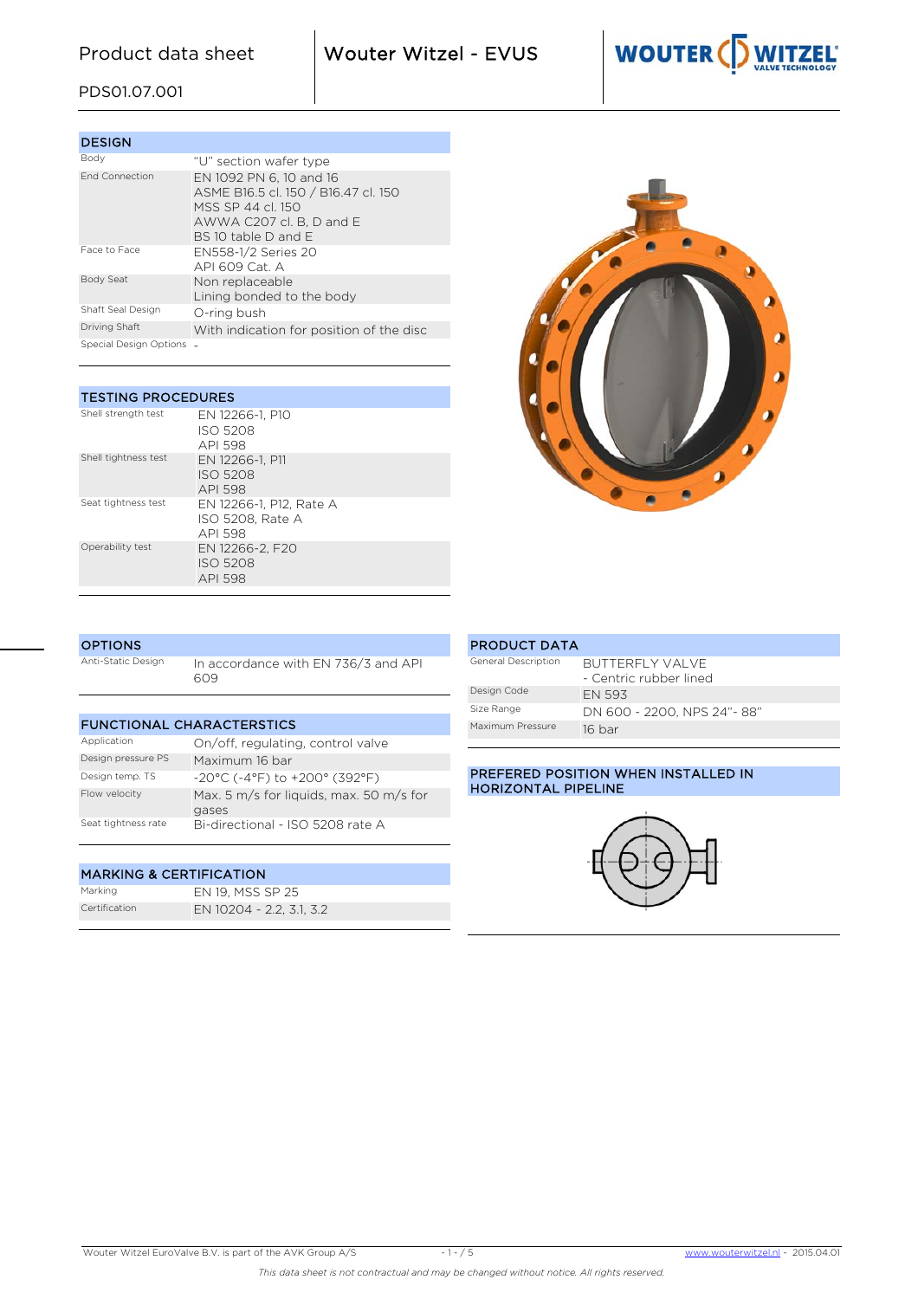Product data sheet **Wouter Witzel - EVUS** 

Valves Rubber Lined - Centric Fout! Onbekende naam voor



## PDS01.07.001

| <b>DESIGN</b>          |                                                                                                                                        |
|------------------------|----------------------------------------------------------------------------------------------------------------------------------------|
| Body                   | "∪" section wafer type                                                                                                                 |
| <b>End Connection</b>  | EN 1092 PN 6, 10 and 16<br>ASME B16.5 cl. 150 / B16.47 cl. 150<br>MSS SP 44 cl. 150<br>AWWA C207 cl. B, D and E<br>BS 10 table D and F |
| Face to Face           | EN558-1/2 Series 20<br>$API$ 609 Cat $\Delta$                                                                                          |
| Body Seat              | Non replaceable<br>Lining bonded to the body                                                                                           |
| Shaft Seal Design      | O-ring bush                                                                                                                            |
| Driving Shaft          | With indication for position of the disc                                                                                               |
| Special Design Options |                                                                                                                                        |

| <b>TESTING PROCEDURES</b> |                                                        |  |  |  |  |  |  |  |
|---------------------------|--------------------------------------------------------|--|--|--|--|--|--|--|
| Shell strength test       | EN 12266-1. P10<br>ISO 5208<br>API 598                 |  |  |  |  |  |  |  |
| Shell tightness test      | EN 12266-1. P11<br><b>ISO 5208</b><br><b>API 598</b>   |  |  |  |  |  |  |  |
| Seat tightness test       | EN 12266-1, P12, Rate A<br>ISO 5208. Rate A<br>API 598 |  |  |  |  |  |  |  |
| Operability test          | EN 12266-2. F20<br><b>ISO 5208</b><br>API 598          |  |  |  |  |  |  |  |



## **OPTIONS**

Anti-Static Design In accordance with EN 736/3 and API 609

| <b>FUNCTIONAL CHARACTERSTICS</b> |                                                  |  |  |  |  |  |  |  |
|----------------------------------|--------------------------------------------------|--|--|--|--|--|--|--|
| Application                      | On/off, regulating, control valve                |  |  |  |  |  |  |  |
| Design pressure PS               | Maximum 16 bar                                   |  |  |  |  |  |  |  |
| Design temp. TS                  | $-20^{\circ}$ C (-4°F) to $+200^{\circ}$ (392°F) |  |  |  |  |  |  |  |
| Flow velocity                    | Max. 5 m/s for liquids, max. 50 m/s for<br>gases |  |  |  |  |  |  |  |
| Seat tightness rate              | Bi-directional - ISO 5208 rate A                 |  |  |  |  |  |  |  |

## MARKING & CERTIFICATION

Marking EN 19, MSS SP 25<br>Certification EN 10204 - 2.2. 3.1 EN 10204 - 2.2, 3.1, 3.2

PRODUCT DATA General Description BUTTERFLY VALVE - Centric rubber lined Design Code EN 593 Size Range DN 600 - 2200, NPS 24"- 88" Maximum Pressure 16 bar

## PREFERED POSITION WHEN INSTALLED IN HORIZONTAL PIPELINE

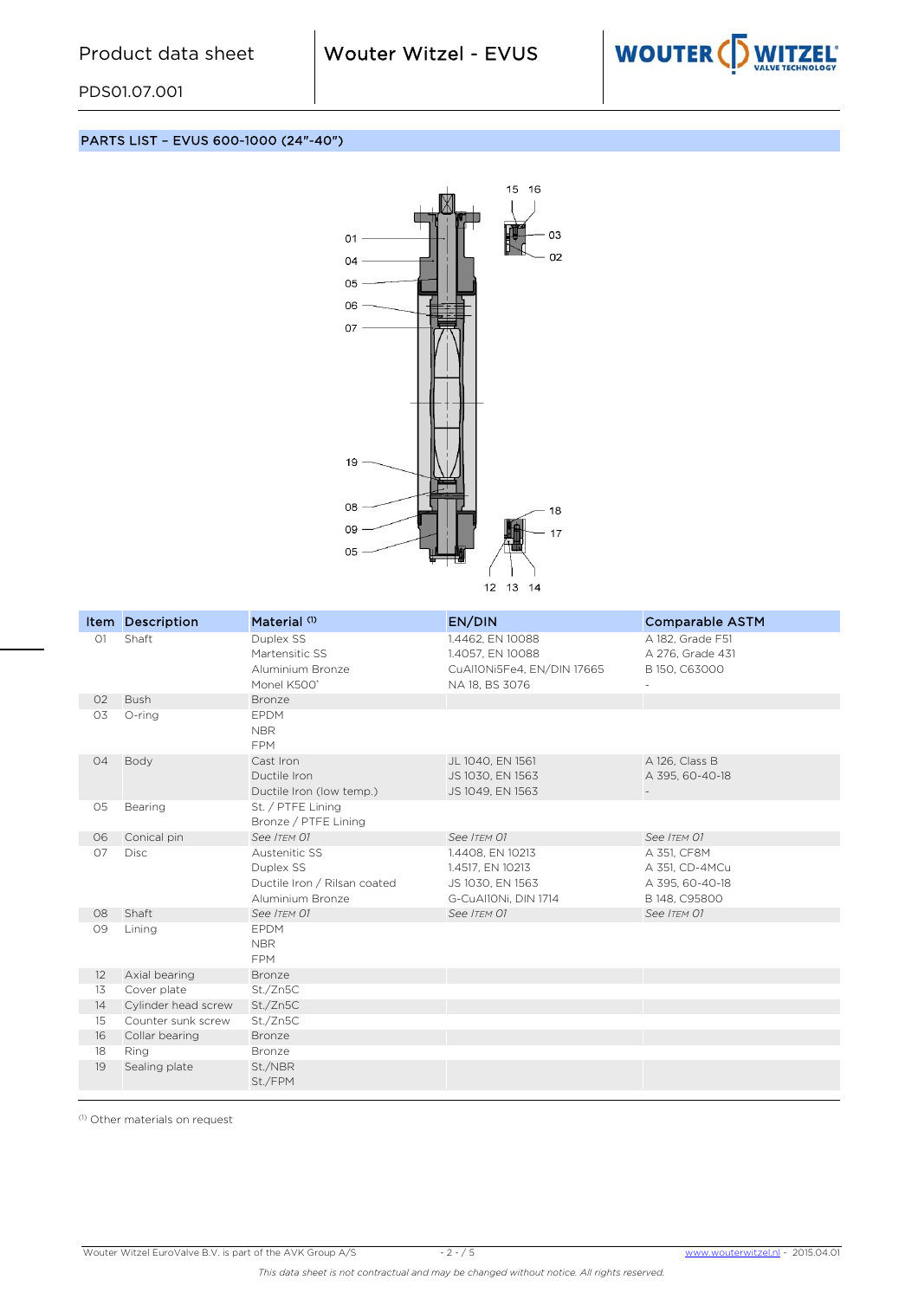Valves Rubber Lined - Centric Fout! Onbekende naam voor



PDS01.07.001

PARTS LIST – EVUS 600-1000 (24"-40")



|                | Item Description      | Material <sup>(1)</sup>      | EN/DIN                     | <b>Comparable ASTM</b> |
|----------------|-----------------------|------------------------------|----------------------------|------------------------|
| O1             | Shaft                 | Duplex SS                    | 1.4462, EN 10088           | A 182, Grade F51       |
|                |                       | Martensitic SS               | 1.4057, EN 10088           | A 276, Grade 431       |
|                |                       | Aluminium Bronze             | CuAl10Ni5Fe4, EN/DIN 17665 | B 150, C63000          |
|                |                       | Monel K500°                  | NA 18, BS 3076             |                        |
| 02<br>O3       | <b>Bush</b><br>O-ring | Bronze<br><b>EPDM</b>        |                            |                        |
|                |                       | <b>NBR</b>                   |                            |                        |
|                |                       | <b>FPM</b>                   |                            |                        |
| O <sub>4</sub> | Body                  | Cast Iron                    | JL 1040, EN 1561           | A 126, Class B         |
|                |                       | Ductile Iron                 | JS 1030, EN 1563           | A 395, 60-40-18        |
|                |                       | Ductile Iron (low temp.)     | JS 1049, EN 1563           |                        |
| 05             | Bearing               | St. / PTFE Lining            |                            |                        |
|                |                       | Bronze / PTFE Lining         |                            |                        |
| 06             | Conical pin           | See ITEM 01                  | See ITEM 01                | See ITEM 01            |
| 07             | <b>Disc</b>           | Austenitic SS                | 1.4408, EN 10213           | A 351, CF8M            |
|                |                       | Duplex SS                    | 1.4517, EN 10213           | A 351, CD-4MCu         |
|                |                       | Ductile Iron / Rilsan coated | JS 1030, EN 1563           | A 395, 60-40-18        |
|                |                       | Aluminium Bronze             | G-CuAl10Ni, DIN 1714       | B 148, C95800          |
| 08             | Shaft                 | See ITEM 01                  | See ITEM 01                | See ITEM 01            |
| 09             | Lining                | <b>EPDM</b>                  |                            |                        |
|                |                       | <b>NBR</b>                   |                            |                        |
|                |                       | <b>FPM</b>                   |                            |                        |
| 12             | Axial bearing         | Bronze                       |                            |                        |
| 13             | Cover plate           | St./Zn5C                     |                            |                        |
| 14             | Cylinder head screw   | St./Zn5C                     |                            |                        |
| 15             | Counter sunk screw    | St./Zn5C                     |                            |                        |
| 16             | Collar bearing        | <b>Bronze</b>                |                            |                        |
| 18             | Ring                  | Bronze                       |                            |                        |
| 19             | Sealing plate         | St./NBR                      |                            |                        |
|                |                       | St./FPM                      |                            |                        |

(1) Other materials on request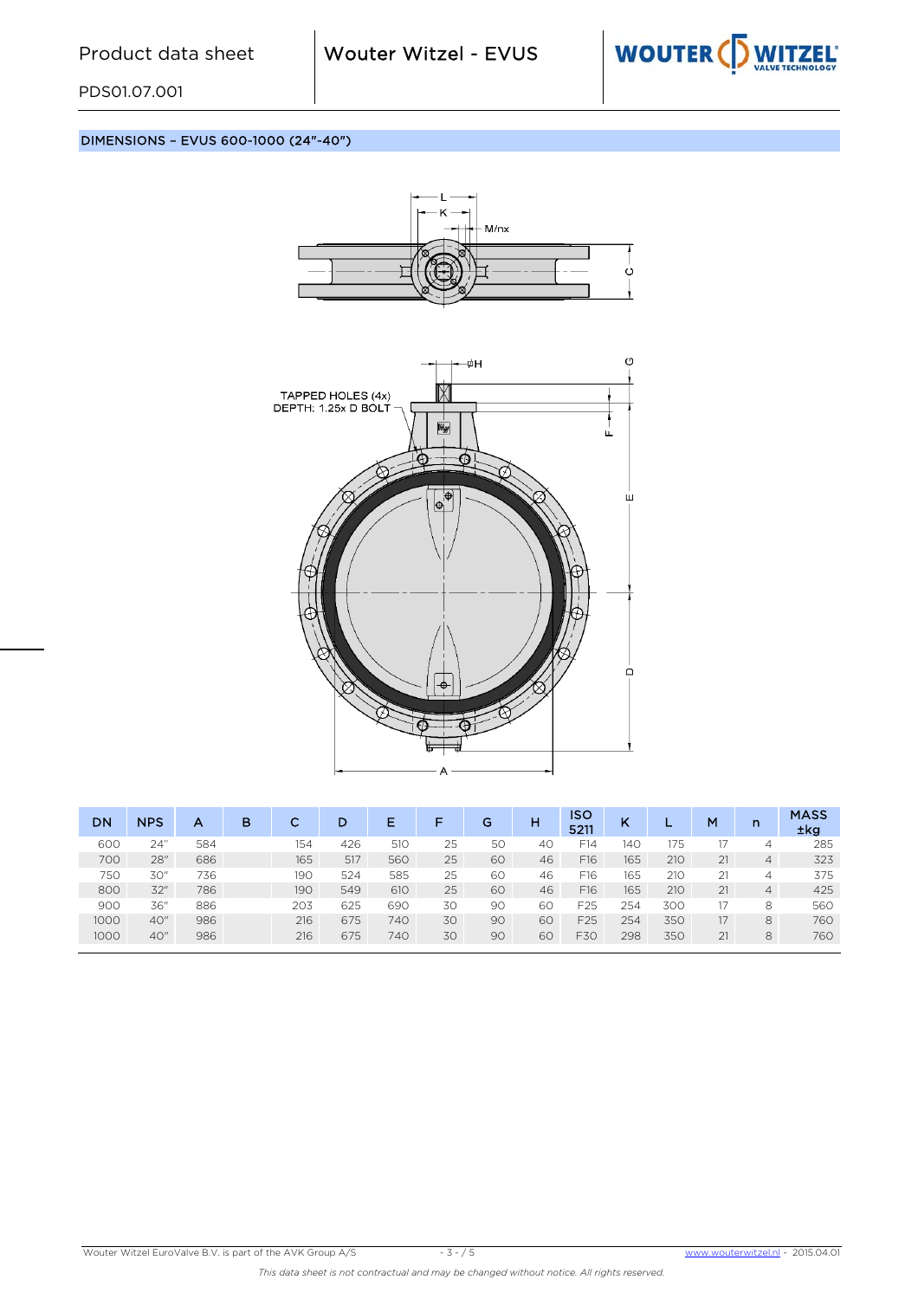

PDS01.07.001

DIMENSIONS – EVUS 600-1000 (24"-40")



Valves Rubber Lined - Centric Fout! Onbekende naam voor



| DN   | <b>NPS</b> | А   | в | ⌒<br>u | D   | Е   |    | G  | н  | ISO<br>5211     | K   | . . | M  | n              | <b>MASS</b><br>±kg |
|------|------------|-----|---|--------|-----|-----|----|----|----|-----------------|-----|-----|----|----------------|--------------------|
| 60C  | 24"        | 584 |   | 154    | 426 | 510 | 25 | 50 | 40 | F14             | 140 | 175 |    | 4              | 285                |
| 700  | 28"        | 686 |   | 165    | 517 | 560 | 25 | 60 | 46 | F16             | 165 | 210 | 21 | $\overline{4}$ | 323                |
| 750  | 30"        | 736 |   | 190    | 524 | 585 | 25 | 60 | 46 | F16             | 165 | 210 | 21 | 4              | 375                |
| 800  | 32"        | 786 |   | 190    | 549 | 610 | 25 | 60 | 46 | F16             | 165 | 210 | 21 | 4              | 425                |
| 900  | 36"        | 886 |   | 203    | 625 | 690 | 30 | 90 | 60 | F <sub>25</sub> | 254 | 300 | 17 | 8              | 560                |
| 1000 | 40"        | 986 |   | 216    | 675 | 740 | 30 | 90 | 60 | F25             | 254 | 350 | 17 | 8              | 760                |
| 1000 | 40"        | 986 |   | 216    | 675 | 740 | 30 | 90 | 60 | F30             | 298 | 350 | 21 | 8              | 760                |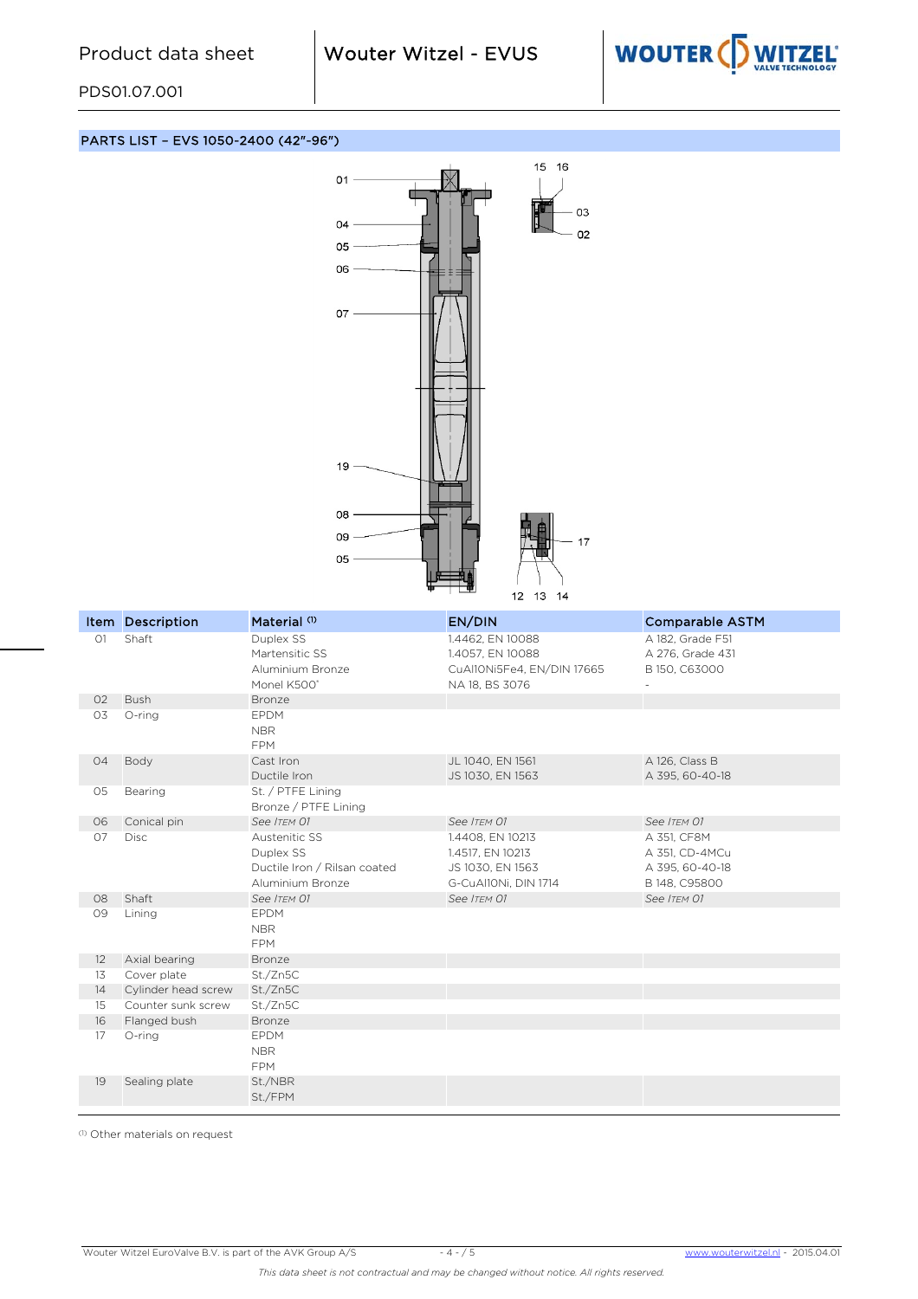Valves Rubber Lined - Centric Fout! Onbekende naam voor



PDS01.07.001

PARTS LIST – EVS 1050-2400 (42"-96")



|          | Item Description           | Material <sup>(1)</sup>      | EN/DIN                               | <b>Comparable ASTM</b>               |
|----------|----------------------------|------------------------------|--------------------------------------|--------------------------------------|
| O1       | Shaft                      | Duplex SS<br>Martensitic SS  | 1.4462, EN 10088<br>1.4057, EN 10088 | A 182, Grade F51<br>A 276, Grade 431 |
|          |                            | Aluminium Bronze             | CuAl10Ni5Fe4, EN/DIN 17665           | B 150, C63000                        |
|          |                            | Monel K500°                  | NA 18, BS 3076                       |                                      |
| 02       | <b>Bush</b>                | Bronze                       |                                      |                                      |
| 03       | O-ring                     | <b>EPDM</b>                  |                                      |                                      |
|          |                            | <b>NBR</b>                   |                                      |                                      |
|          |                            | <b>FPM</b>                   |                                      |                                      |
| 04       | Body                       | Cast Iron                    | JL 1040, EN 1561                     | A 126, Class B                       |
|          |                            | Ductile Iron                 | JS 1030, EN 1563                     | A 395, 60-40-18                      |
| 05       | Bearing                    | St. / PTFE Lining            |                                      |                                      |
|          |                            | Bronze / PTFE Lining         |                                      |                                      |
| 06<br>07 | Conical pin<br><b>Disc</b> | See ITEM 01<br>Austenitic SS | See ITEM 01                          | See ITEM 01                          |
|          |                            | Duplex SS                    | 1.4408, EN 10213<br>1.4517, EN 10213 | A 351, CF8M<br>A 351, CD-4MCu        |
|          |                            | Ductile Iron / Rilsan coated | JS 1030, EN 1563                     | A 395, 60-40-18                      |
|          |                            | Aluminium Bronze             | G-CuAl10Ni, DIN 1714                 | B 148, C95800                        |
| 08       | Shaft                      | See ITEM 01                  | See ITEM 01                          | See ITEM 01                          |
| 09       | Lining                     | <b>EPDM</b>                  |                                      |                                      |
|          |                            | <b>NBR</b>                   |                                      |                                      |
|          |                            | <b>FPM</b>                   |                                      |                                      |
| 12       | Axial bearing              | Bronze                       |                                      |                                      |
| 13       | Cover plate                | St./Zn5C                     |                                      |                                      |
| 14       | Cylinder head screw        | St./Zn5C                     |                                      |                                      |
| 15       | Counter sunk screw         | St./Zn5C                     |                                      |                                      |
| 16       | Flanged bush               | Bronze                       |                                      |                                      |
| 17       | O-ring                     | <b>EPDM</b>                  |                                      |                                      |
|          |                            | <b>NBR</b>                   |                                      |                                      |
|          |                            | <b>FPM</b>                   |                                      |                                      |
| 19       | Sealing plate              | St./NBR                      |                                      |                                      |
|          |                            | St./FPM                      |                                      |                                      |

(1) Other materials on request

Wouter Witzel EuroValve B.V. is part of the AVK Group A/S - 4 - / 5 www.wouterwitzel.nl - 2015.04.01